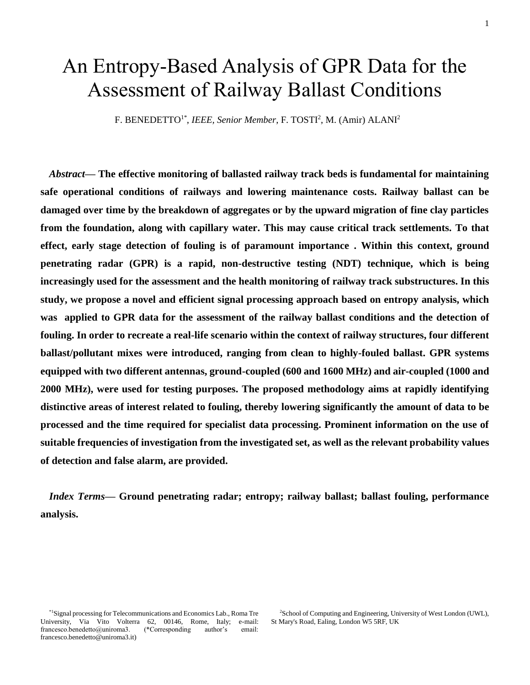# An Entropy-Based Analysis of GPR Data for the Assessment of Railway Ballast Conditions

F. BENEDETTO<sup>1\*</sup>, *IEEE, Senior Member*, F. TOSTI<sup>2</sup>, M. (Amir) ALANI<sup>2</sup>

*Abstract***— The effective monitoring of ballasted railway track beds is fundamental for maintaining safe operational conditions of railways and lowering maintenance costs. Railway ballast can be damaged over time by the breakdown of aggregates or by the upward migration of fine clay particles from the foundation, along with capillary water. This may cause critical track settlements. To that effect, early stage detection of fouling is of paramount importance . Within this context, ground penetrating radar (GPR) is a rapid, non-destructive testing (NDT) technique, which is being increasingly used for the assessment and the health monitoring of railway track substructures. In this study, we propose a novel and efficient signal processing approach based on entropy analysis, which was applied to GPR data for the assessment of the railway ballast conditions and the detection of fouling. In order to recreate a real-life scenario within the context of railway structures, four different ballast/pollutant mixes were introduced, ranging from clean to highly-fouled ballast. GPR systems equipped with two different antennas, ground-coupled (600 and 1600 MHz) and air-coupled (1000 and 2000 MHz), were used for testing purposes. The proposed methodology aims at rapidly identifying distinctive areas of interest related to fouling, thereby lowering significantly the amount of data to be processed and the time required for specialist data processing. Prominent information on the use of suitable frequencies of investigation from the investigated set, as well as the relevant probability values of detection and false alarm, are provided.**

*Index Terms***— Ground penetrating radar; entropy; railway ballast; ballast fouling, performance analysis.**

\*1Signal processing for Telecommunications and Economics Lab., Roma Tre University, Via Vito Volterra 62, 00146, Rome, Italy; e-mail: francesco.benedetto@uniroma3. (\*Corresponding author's email: francesco.benedetto@uniroma3.it)

<sup>2</sup>School of Computing and Engineering, University of West London (UWL), St Mary's Road, Ealing, London W5 5RF, UK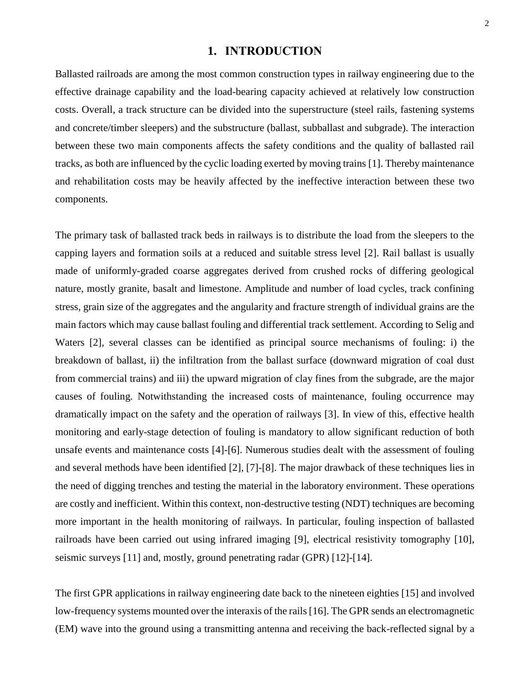## **1. INTRODUCTION**

Ballasted railroads are among the most common construction types in railway engineering due to the effective drainage capability and the load-bearing capacity achieved at relatively low construction costs. Overall, a track structure can be divided into the superstructure (steel rails, fastening systems and concrete/timber sleepers) and the substructure (ballast, subballast and subgrade). The interaction between these two main components affects the safety conditions and the quality of ballasted rail tracks, as both are influenced by the cyclic loading exerted by moving trains [1]. Thereby maintenance and rehabilitation costs may be heavily affected by the ineffective interaction between these two components.

The primary task of ballasted track beds in railways is to distribute the load from the sleepers to the capping layers and formation soils at a reduced and suitable stress level [2]. Rail ballast is usually made of uniformly-graded coarse aggregates derived from crushed rocks of differing geological nature, mostly granite, basalt and limestone. Amplitude and number of load cycles, track confining stress, grain size of the aggregates and the angularity and fracture strength of individual grains are the main factors which may cause ballast fouling and differential track settlement. According to Selig and Waters [2], several classes can be identified as principal source mechanisms of fouling: i) the breakdown of ballast, ii) the infiltration from the ballast surface (downward migration of coal dust from commercial trains) and iii) the upward migration of clay fines from the subgrade, are the major causes of fouling. Notwithstanding the increased costs of maintenance, fouling occurrence may dramatically impact on the safety and the operation of railways [3]. In view of this, effective health monitoring and early-stage detection of fouling is mandatory to allow significant reduction of both unsafe events and maintenance costs [4]-[6]. Numerous studies dealt with the assessment of fouling and several methods have been identified [2], [7]-[8]. The major drawback of these techniques lies in the need of digging trenches and testing the material in the laboratory environment. These operations are costly and inefficient. Within this context, non-destructive testing (NDT) techniques are becoming more important in the health monitoring of railways. In particular, fouling inspection of ballasted railroads have been carried out using infrared imaging [9], electrical resistivity tomography [10], seismic surveys [11] and, mostly, ground penetrating radar (GPR) [12]-[14].

The first GPR applications in railway engineering date back to the nineteen eighties [15] and involved low-frequency systems mounted over the interaxis of the rails [16]. The GPR sends an electromagnetic (EM) wave into the ground using a transmitting antenna and receiving the back-reflected signal by a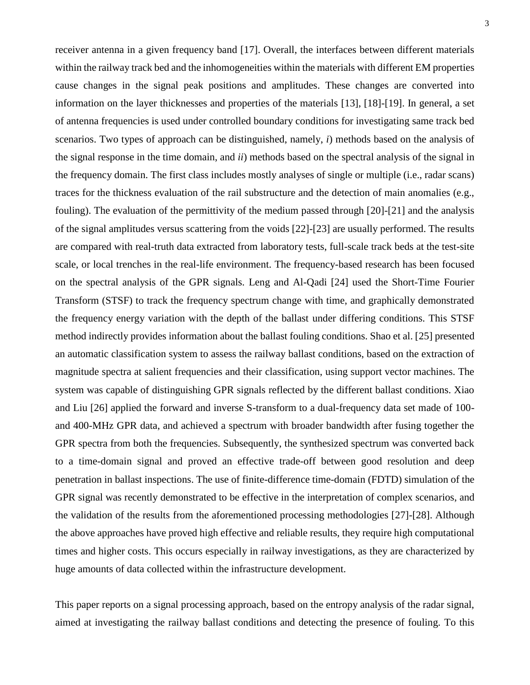receiver antenna in a given frequency band [17]. Overall, the interfaces between different materials within the railway track bed and the inhomogeneities within the materials with different EM properties cause changes in the signal peak positions and amplitudes. These changes are converted into information on the layer thicknesses and properties of the materials [13], [18]-[19]. In general, a set of antenna frequencies is used under controlled boundary conditions for investigating same track bed scenarios. Two types of approach can be distinguished, namely, *i*) methods based on the analysis of the signal response in the time domain, and *ii*) methods based on the spectral analysis of the signal in the frequency domain. The first class includes mostly analyses of single or multiple (i.e., radar scans) traces for the thickness evaluation of the rail substructure and the detection of main anomalies (e.g., fouling). The evaluation of the permittivity of the medium passed through [20]-[21] and the analysis of the signal amplitudes versus scattering from the voids [22]-[23] are usually performed. The results are compared with real-truth data extracted from laboratory tests, full-scale track beds at the test-site scale, or local trenches in the real-life environment. The frequency-based research has been focused on the spectral analysis of the GPR signals. Leng and Al-Qadi [24] used the Short-Time Fourier Transform (STSF) to track the frequency spectrum change with time, and graphically demonstrated the frequency energy variation with the depth of the ballast under differing conditions. This STSF method indirectly provides information about the ballast fouling conditions. Shao et al. [25] presented an automatic classification system to assess the railway ballast conditions, based on the extraction of magnitude spectra at salient frequencies and their classification, using support vector machines. The system was capable of distinguishing GPR signals reflected by the different ballast conditions. Xiao and Liu [26] applied the forward and inverse S-transform to a dual-frequency data set made of 100 and 400-MHz GPR data, and achieved a spectrum with broader bandwidth after fusing together the GPR spectra from both the frequencies. Subsequently, the synthesized spectrum was converted back to a time-domain signal and proved an effective trade-off between good resolution and deep penetration in ballast inspections. The use of finite-difference time-domain (FDTD) simulation of the GPR signal was recently demonstrated to be effective in the interpretation of complex scenarios, and the validation of the results from the aforementioned processing methodologies [27]-[28]. Although the above approaches have proved high effective and reliable results, they require high computational times and higher costs. This occurs especially in railway investigations, as they are characterized by huge amounts of data collected within the infrastructure development.

This paper reports on a signal processing approach, based on the entropy analysis of the radar signal, aimed at investigating the railway ballast conditions and detecting the presence of fouling. To this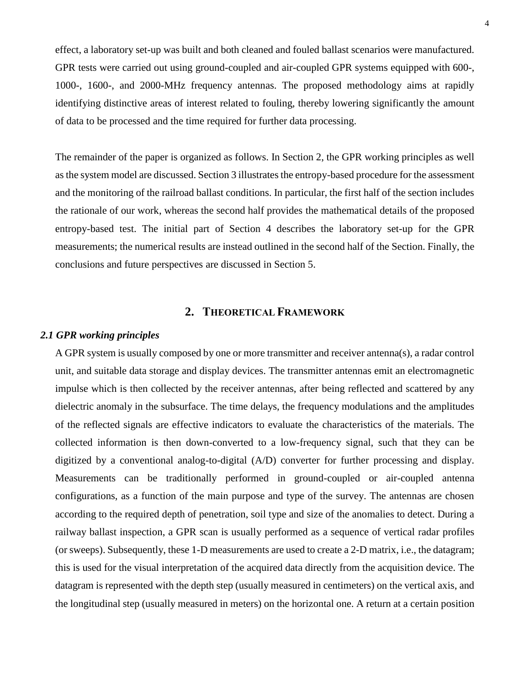effect, a laboratory set-up was built and both cleaned and fouled ballast scenarios were manufactured. GPR tests were carried out using ground-coupled and air-coupled GPR systems equipped with 600-, 1000-, 1600-, and 2000-MHz frequency antennas. The proposed methodology aims at rapidly identifying distinctive areas of interest related to fouling, thereby lowering significantly the amount of data to be processed and the time required for further data processing.

The remainder of the paper is organized as follows. In Section 2, the GPR working principles as well as the system model are discussed. Section 3 illustrates the entropy-based procedure for the assessment and the monitoring of the railroad ballast conditions. In particular, the first half of the section includes the rationale of our work, whereas the second half provides the mathematical details of the proposed entropy-based test. The initial part of Section 4 describes the laboratory set-up for the GPR measurements; the numerical results are instead outlined in the second half of the Section. Finally, the conclusions and future perspectives are discussed in Section 5.

# **2. THEORETICAL FRAMEWORK**

## *2.1 GPR working principles*

A GPR system is usually composed by one or more transmitter and receiver antenna(s), a radar control unit, and suitable data storage and display devices. The transmitter antennas emit an electromagnetic impulse which is then collected by the receiver antennas, after being reflected and scattered by any dielectric anomaly in the subsurface. The time delays, the frequency modulations and the amplitudes of the reflected signals are effective indicators to evaluate the characteristics of the materials. The collected information is then down-converted to a low-frequency signal, such that they can be digitized by a conventional analog-to-digital (A/D) converter for further processing and display. Measurements can be traditionally performed in ground-coupled or air-coupled antenna configurations, as a function of the main purpose and type of the survey. The antennas are chosen according to the required depth of penetration, soil type and size of the anomalies to detect. During a railway ballast inspection, a GPR scan is usually performed as a sequence of vertical radar profiles (or sweeps). Subsequently, these 1-D measurements are used to create a 2-D matrix, i.e., the datagram; this is used for the visual interpretation of the acquired data directly from the acquisition device. The datagram is represented with the depth step (usually measured in centimeters) on the vertical axis, and the longitudinal step (usually measured in meters) on the horizontal one. A return at a certain position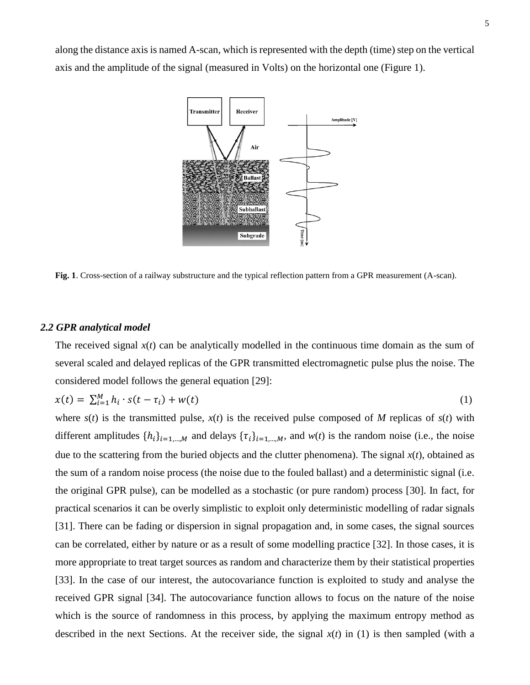along the distance axis is named A-scan, which is represented with the depth (time) step on the vertical axis and the amplitude of the signal (measured in Volts) on the horizontal one (Figure 1).



**Fig. 1**. Cross-section of a railway substructure and the typical reflection pattern from a GPR measurement (A-scan).

#### *2.2 GPR analytical model*

The received signal  $x(t)$  can be analytically modelled in the continuous time domain as the sum of several scaled and delayed replicas of the GPR transmitted electromagnetic pulse plus the noise. The considered model follows the general equation [29]:

$$
x(t) = \sum_{i=1}^{M} h_i \cdot s(t - \tau_i) + w(t)
$$
 (1)

where  $s(t)$  is the transmitted pulse,  $x(t)$  is the received pulse composed of *M* replicas of  $s(t)$  with different amplitudes  $\{h_i\}_{i=1,\dots,M}$  and delays  $\{\tau_i\}_{i=1,\dots,M}$ , and  $w(t)$  is the random noise (i.e., the noise due to the scattering from the buried objects and the clutter phenomena). The signal *x*(*t*), obtained as the sum of a random noise process (the noise due to the fouled ballast) and a deterministic signal (i.e. the original GPR pulse), can be modelled as a stochastic (or pure random) process [30]. In fact, for practical scenarios it can be overly simplistic to exploit only deterministic modelling of radar signals [31]. There can be fading or dispersion in signal propagation and, in some cases, the signal sources can be correlated, either by nature or as a result of some modelling practice [32]. In those cases, it is more appropriate to treat target sources as random and characterize them by their statistical properties [33]. In the case of our interest, the autocovariance function is exploited to study and analyse the received GPR signal [34]. The autocovariance function allows to focus on the nature of the noise which is the source of randomness in this process, by applying the maximum entropy method as described in the next Sections. At the receiver side, the signal  $x(t)$  in (1) is then sampled (with a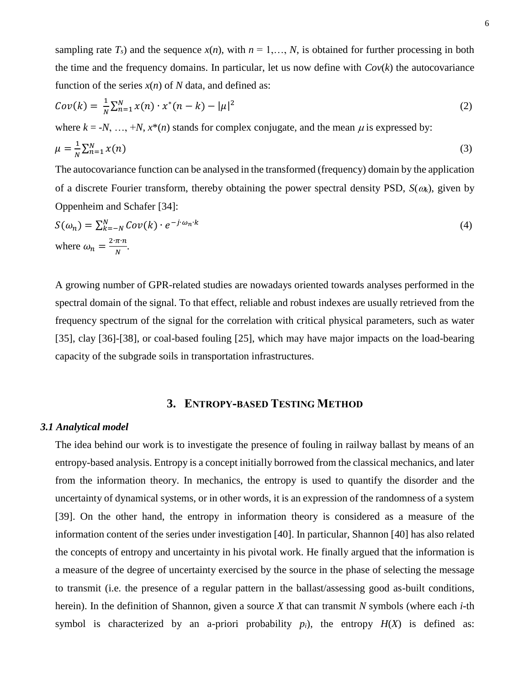sampling rate  $T_s$ ) and the sequence  $x(n)$ , with  $n = 1, \ldots, N$ , is obtained for further processing in both the time and the frequency domains. In particular, let us now define with  $Cov(k)$  the autocovariance function of the series  $x(n)$  of *N* data, and defined as:

$$
Cov(k) = \frac{1}{N} \sum_{n=1}^{N} x(n) \cdot x^*(n-k) - |\mu|^2
$$
 (2)

where  $k = -N, \ldots, +N, x^*(n)$  stands for complex conjugate, and the mean  $\mu$  is expressed by:

$$
\mu = \frac{1}{N} \sum_{n=1}^{N} x(n) \tag{3}
$$

The autocovariance function can be analysed in the transformed (frequency) domain by the application of a discrete Fourier transform, thereby obtaining the power spectral density PSD,  $S(\omega_k)$ , given by Oppenheim and Schafer [34]:

$$
S(\omega_n) = \sum_{k=-N}^{N} Cov(k) \cdot e^{-j \cdot \omega_n \cdot k}
$$
  
where  $\omega_n = \frac{2 \cdot \pi \cdot n}{N}$ . (4)

A growing number of GPR-related studies are nowadays oriented towards analyses performed in the spectral domain of the signal. To that effect, reliable and robust indexes are usually retrieved from the frequency spectrum of the signal for the correlation with critical physical parameters, such as water [35], clay [36]-[38], or coal-based fouling [25], which may have major impacts on the load-bearing capacity of the subgrade soils in transportation infrastructures.

# **3. ENTROPY-BASED TESTING METHOD**

### *3.1 Analytical model*

The idea behind our work is to investigate the presence of fouling in railway ballast by means of an entropy-based analysis. Entropy is a concept initially borrowed from the classical mechanics, and later from the information theory. In mechanics, the entropy is used to quantify the disorder and the uncertainty of dynamical systems, or in other words, it is an expression of the randomness of a system [39]. On the other hand, the entropy in information theory is considered as a measure of the information content of the series under investigation [40]. In particular, Shannon [40] has also related the concepts of entropy and uncertainty in his pivotal work. He finally argued that the information is a measure of the degree of uncertainty exercised by the source in the phase of selecting the message to transmit (i.e. the presence of a regular pattern in the ballast/assessing good as-built conditions, herein). In the definition of Shannon, given a source *X* that can transmit *N* symbols (where each *i*-th symbol is characterized by an a-priori probability  $p_i$ ), the entropy  $H(X)$  is defined as: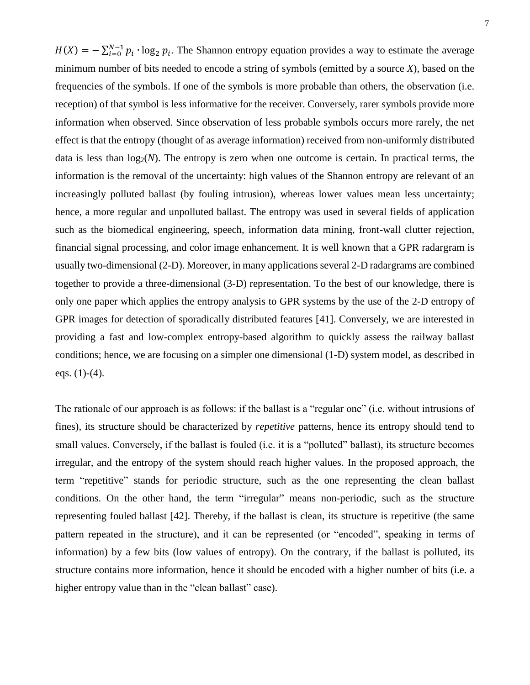$H(X) = -\sum_{i=0}^{N-1} p_i \cdot \log_2 p_i$ . The Shannon entropy equation provides a way to estimate the average minimum number of bits needed to encode a string of symbols (emitted by a source *X*), based on the frequencies of the symbols. If one of the symbols is more probable than others, the observation (i.e. reception) of that symbol is less informative for the receiver. Conversely, rarer symbols provide more information when observed. Since observation of less probable symbols occurs more rarely, the net effect is that the entropy (thought of as average information) received from non-uniformly distributed data is less than  $log_2(N)$ . The entropy is zero when one outcome is certain. In practical terms, the information is the removal of the uncertainty: high values of the Shannon entropy are relevant of an increasingly polluted ballast (by fouling intrusion), whereas lower values mean less uncertainty; hence, a more regular and unpolluted ballast. The entropy was used in several fields of application such as the biomedical engineering, speech, information data mining, front-wall clutter rejection, financial signal processing, and color image enhancement. It is well known that a GPR radargram is usually two-dimensional (2-D). Moreover, in many applications several 2-D radargrams are combined together to provide a three-dimensional (3-D) representation. To the best of our knowledge, there is only one paper which applies the entropy analysis to GPR systems by the use of the 2-D entropy of GPR images for detection of sporadically distributed features [41]. Conversely, we are interested in providing a fast and low-complex entropy-based algorithm to quickly assess the railway ballast conditions; hence, we are focusing on a simpler one dimensional (1-D) system model, as described in eqs.  $(1)-(4)$ .

The rationale of our approach is as follows: if the ballast is a "regular one" (i.e. without intrusions of fines), its structure should be characterized by *repetitive* patterns, hence its entropy should tend to small values. Conversely, if the ballast is fouled (i.e. it is a "polluted" ballast), its structure becomes irregular, and the entropy of the system should reach higher values. In the proposed approach, the term "repetitive" stands for periodic structure, such as the one representing the clean ballast conditions. On the other hand, the term "irregular" means non-periodic, such as the structure representing fouled ballast [42]. Thereby, if the ballast is clean, its structure is repetitive (the same pattern repeated in the structure), and it can be represented (or "encoded", speaking in terms of information) by a few bits (low values of entropy). On the contrary, if the ballast is polluted, its structure contains more information, hence it should be encoded with a higher number of bits (i.e. a higher entropy value than in the "clean ballast" case).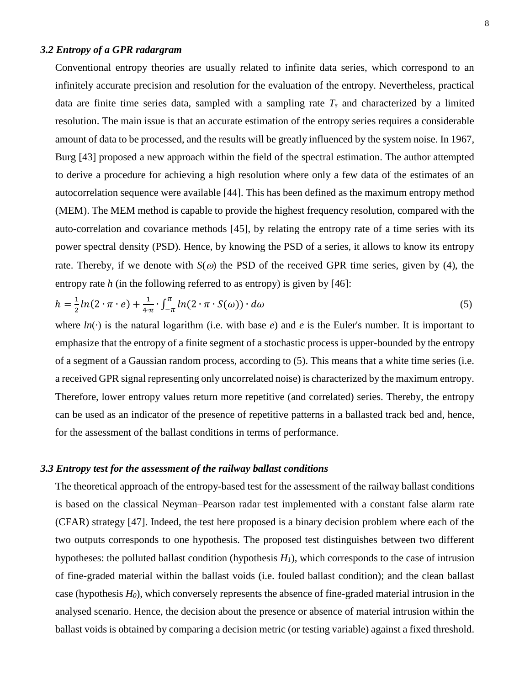### *3.2 Entropy of a GPR radargram*

Conventional entropy theories are usually related to infinite data series, which correspond to an infinitely accurate precision and resolution for the evaluation of the entropy. Nevertheless, practical data are finite time series data, sampled with a sampling rate *T<sup>s</sup>* and characterized by a limited resolution. The main issue is that an accurate estimation of the entropy series requires a considerable amount of data to be processed, and the results will be greatly influenced by the system noise. In 1967, Burg [43] proposed a new approach within the field of the spectral estimation. The author attempted to derive a procedure for achieving a high resolution where only a few data of the estimates of an autocorrelation sequence were available [44]. This has been defined as the maximum entropy method (MEM). The MEM method is capable to provide the highest frequency resolution, compared with the auto-correlation and covariance methods [45], by relating the entropy rate of a time series with its power spectral density (PSD). Hence, by knowing the PSD of a series, it allows to know its entropy rate. Thereby, if we denote with  $S(\omega)$  the PSD of the received GPR time series, given by (4), the entropy rate *h* (in the following referred to as entropy) is given by [46]:

$$
h = \frac{1}{2}ln(2 \cdot \pi \cdot e) + \frac{1}{4\pi} \cdot \int_{-\pi}^{\pi} ln(2 \cdot \pi \cdot S(\omega)) \cdot d\omega \tag{5}
$$

where *ln*(∙) is the natural logarithm (i.e. with base *e*) and *e* is the Euler's number. It is important to emphasize that the entropy of a finite segment of a stochastic process is upper-bounded by the entropy of a segment of a Gaussian random process, according to (5). This means that a white time series (i.e. a received GPR signal representing only uncorrelated noise) is characterized by the maximum entropy. Therefore, lower entropy values return more repetitive (and correlated) series. Thereby, the entropy can be used as an indicator of the presence of repetitive patterns in a ballasted track bed and, hence, for the assessment of the ballast conditions in terms of performance.

### *3.3 Entropy test for the assessment of the railway ballast conditions*

The theoretical approach of the entropy-based test for the assessment of the railway ballast conditions is based on the classical Neyman–Pearson radar test implemented with a constant false alarm rate (CFAR) strategy [47]. Indeed, the test here proposed is a binary decision problem where each of the two outputs corresponds to one hypothesis. The proposed test distinguishes between two different hypotheses: the polluted ballast condition (hypothesis *H1*), which corresponds to the case of intrusion of fine-graded material within the ballast voids (i.e. fouled ballast condition); and the clean ballast case (hypothesis *H0*), which conversely represents the absence of fine-graded material intrusion in the analysed scenario. Hence, the decision about the presence or absence of material intrusion within the ballast voids is obtained by comparing a decision metric (or testing variable) against a fixed threshold.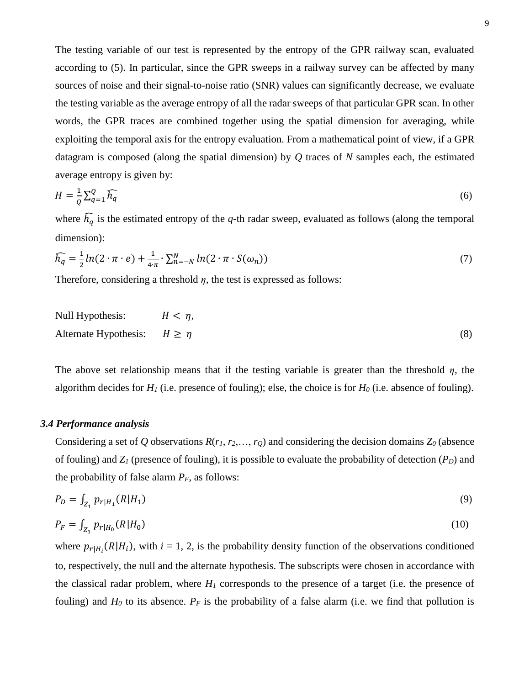The testing variable of our test is represented by the entropy of the GPR railway scan, evaluated according to (5). In particular, since the GPR sweeps in a railway survey can be affected by many sources of noise and their signal-to-noise ratio (SNR) values can significantly decrease, we evaluate the testing variable as the average entropy of all the radar sweeps of that particular GPR scan. In other words, the GPR traces are combined together using the spatial dimension for averaging, while exploiting the temporal axis for the entropy evaluation. From a mathematical point of view, if a GPR datagram is composed (along the spatial dimension) by *Q* traces of *N* samples each, the estimated average entropy is given by:

$$
H = \frac{1}{Q} \sum_{q=1}^{Q} \widehat{h_q} \tag{6}
$$

where  $\widehat{h_q}$  is the estimated entropy of the *q*-th radar sweep, evaluated as follows (along the temporal dimension):

$$
\widehat{h_q} = \frac{1}{2}ln(2 \cdot \pi \cdot e) + \frac{1}{4 \cdot \pi} \cdot \sum_{n=-N}^{N} ln(2 \cdot \pi \cdot S(\omega_n))
$$
\n<sup>(7)</sup>

Therefore, considering a threshold *η*, the test is expressed as follows:

Null Hypothesis: 
$$
H < \eta
$$
,  
Alternate Hypothesis:  $H \ge \eta$  (8)

The above set relationship means that if the testing variable is greater than the threshold  $\eta$ , the algorithm decides for  $H_1$  (i.e. presence of fouling); else, the choice is for  $H_0$  (i.e. absence of fouling).

## *3.4 Performance analysis*

Considering a set of *Q* observations  $R(r_1, r_2, \ldots, r_Q)$  and considering the decision domains  $Z_0$  (absence of fouling) and *Z<sup>1</sup>* (presence of fouling), it is possible to evaluate the probability of detection (*PD*) and the probability of false alarm  $P_F$ , as follows:

$$
P_D = \int_{Z_1} p_{r|H_1}(R|H_1) \tag{9}
$$

$$
P_F = \int_{Z_1} p_{r|H_0}(R|H_0) \tag{10}
$$

where  $p_{r|H_i}(R|H_i)$ , with  $i = 1, 2$ , is the probability density function of the observations conditioned to, respectively, the null and the alternate hypothesis. The subscripts were chosen in accordance with the classical radar problem, where  $H_I$  corresponds to the presence of a target (i.e. the presence of fouling) and  $H_0$  to its absence.  $P_F$  is the probability of a false alarm (i.e. we find that pollution is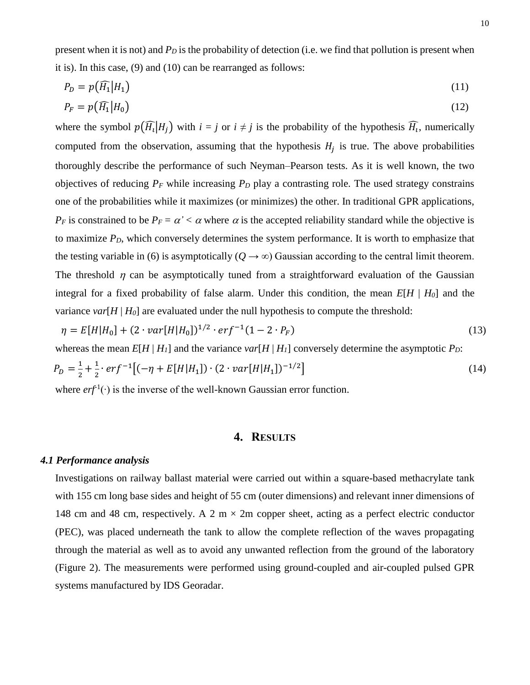present when it is not) and *P<sup>D</sup>* is the probability of detection (i.e. we find that pollution is present when it is). In this case, (9) and (10) can be rearranged as follows:

$$
P_D = p\big(\widehat{H_1}|H_1\big) \tag{11}
$$

$$
P_F = p\big(\widehat{H_1}|H_0\big) \tag{12}
$$

where the symbol  $p(\widehat{H_i}|H_j)$  with  $i = j$  or  $i \neq j$  is the probability of the hypothesis  $\widehat{H_i}$ , numerically computed from the observation, assuming that the hypothesis  $H_j$  is true. The above probabilities thoroughly describe the performance of such Neyman–Pearson tests. As it is well known, the two objectives of reducing  $P_F$  while increasing  $P_D$  play a contrasting role. The used strategy constrains one of the probabilities while it maximizes (or minimizes) the other. In traditional GPR applications, *P<sub>F</sub>* is constrained to be  $P_F = \alpha' < \alpha$  where  $\alpha$  is the accepted reliability standard while the objective is to maximize *PD*, which conversely determines the system performance. It is worth to emphasize that the testing variable in (6) is asymptotically  $(Q \to \infty)$  Gaussian according to the central limit theorem. The threshold  $\eta$  can be asymptotically tuned from a straightforward evaluation of the Gaussian integral for a fixed probability of false alarm. Under this condition, the mean  $E[H \mid H_0]$  and the variance  $var[H | H_0]$  are evaluated under the null hypothesis to compute the threshold:

$$
\eta = E[H|H_0] + (2 \cdot var[H|H_0])^{1/2} \cdot erf^{-1}(1 - 2 \cdot P_F)
$$
\n(13)  
\nwhereas the mean  $E[H|H_1]$  and the variance  $var[H|H_1]$  conversely determine the asymptotic  $P_D$ :  
\n
$$
P_D = \frac{1}{2} + \frac{1}{2} \cdot erf^{-1} [(-\eta + E[H|H_1]) \cdot (2 \cdot var[H|H_1])^{-1/2}]
$$
\n(14)

where  $erf^1(\cdot)$  is the inverse of the well-known Gaussian error function.

### **4. RESULTS**

#### *4.1 Performance analysis*

Investigations on railway ballast material were carried out within a square-based methacrylate tank with 155 cm long base sides and height of 55 cm (outer dimensions) and relevant inner dimensions of 148 cm and 48 cm, respectively. A 2 m  $\times$  2m copper sheet, acting as a perfect electric conductor (PEC), was placed underneath the tank to allow the complete reflection of the waves propagating through the material as well as to avoid any unwanted reflection from the ground of the laboratory (Figure 2). The measurements were performed using ground-coupled and air-coupled pulsed GPR systems manufactured by IDS Georadar.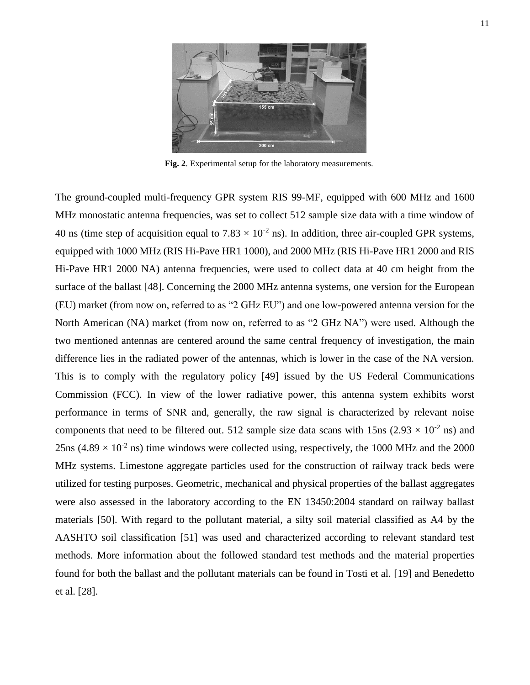

**Fig. 2**. Experimental setup for the laboratory measurements.

The ground-coupled multi-frequency GPR system RIS 99-MF, equipped with 600 MHz and 1600 MHz monostatic antenna frequencies, was set to collect 512 sample size data with a time window of 40 ns (time step of acquisition equal to  $7.83 \times 10^{-2}$  ns). In addition, three air-coupled GPR systems, equipped with 1000 MHz (RIS Hi-Pave HR1 1000), and 2000 MHz (RIS Hi-Pave HR1 2000 and RIS Hi-Pave HR1 2000 NA) antenna frequencies, were used to collect data at 40 cm height from the surface of the ballast [48]. Concerning the 2000 MHz antenna systems, one version for the European (EU) market (from now on, referred to as "2 GHz EU") and one low-powered antenna version for the North American (NA) market (from now on, referred to as "2 GHz NA") were used. Although the two mentioned antennas are centered around the same central frequency of investigation, the main difference lies in the radiated power of the antennas, which is lower in the case of the NA version. This is to comply with the regulatory policy [49] issued by the US Federal Communications Commission (FCC). In view of the lower radiative power, this antenna system exhibits worst performance in terms of SNR and, generally, the raw signal is characterized by relevant noise components that need to be filtered out. 512 sample size data scans with 15ns ( $2.93 \times 10^{-2}$  ns) and 25ns (4.89  $\times$  10<sup>-2</sup> ns) time windows were collected using, respectively, the 1000 MHz and the 2000 MHz systems. Limestone aggregate particles used for the construction of railway track beds were utilized for testing purposes. Geometric, mechanical and physical properties of the ballast aggregates were also assessed in the laboratory according to the EN 13450:2004 standard on railway ballast materials [50]. With regard to the pollutant material, a silty soil material classified as A4 by the AASHTO soil classification [51] was used and characterized according to relevant standard test methods. More information about the followed standard test methods and the material properties found for both the ballast and the pollutant materials can be found in Tosti et al. [19] and Benedetto et al. [28].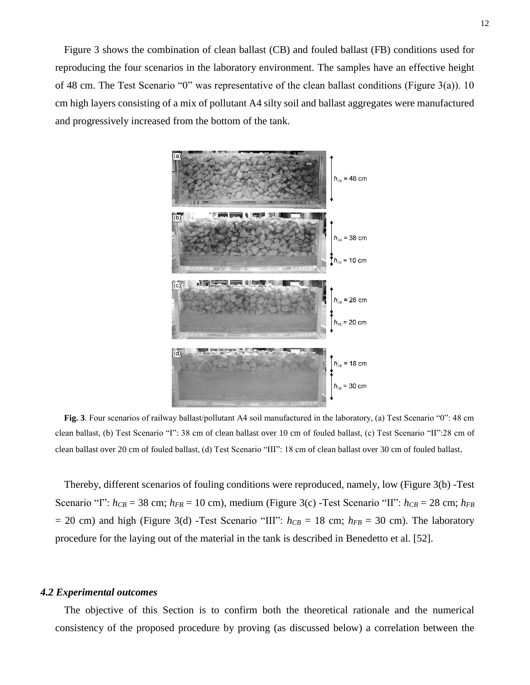Figure 3 shows the combination of clean ballast (CB) and fouled ballast (FB) conditions used for reproducing the four scenarios in the laboratory environment. The samples have an effective height of 48 cm. The Test Scenario "0" was representative of the clean ballast conditions (Figure 3(a)). 10 cm high layers consisting of a mix of pollutant A4 silty soil and ballast aggregates were manufactured and progressively increased from the bottom of the tank.



**Fig. 3**. Four scenarios of railway ballast/pollutant A4 soil manufactured in the laboratory, (a) Test Scenario "0": 48 cm clean ballast, (b) Test Scenario "I": 38 cm of clean ballast over 10 cm of fouled ballast, (c) Test Scenario "II":28 cm of clean ballast over 20 cm of fouled ballast, (d) Test Scenario "III": 18 cm of clean ballast over 30 cm of fouled ballast.

Thereby, different scenarios of fouling conditions were reproduced, namely, low (Figure 3(b) -Test Scenario "I":  $h_{CB} = 38$  cm;  $h_{FB} = 10$  cm), medium (Figure 3(c) -Test Scenario "II":  $h_{CB} = 28$  cm;  $h_{FB}$  $= 20$  cm) and high (Figure 3(d) -Test Scenario "III":  $h_{CB} = 18$  cm;  $h_{FB} = 30$  cm). The laboratory procedure for the laying out of the material in the tank is described in Benedetto et al. [52].

#### *4.2 Experimental outcomes*

The objective of this Section is to confirm both the theoretical rationale and the numerical consistency of the proposed procedure by proving (as discussed below) a correlation between the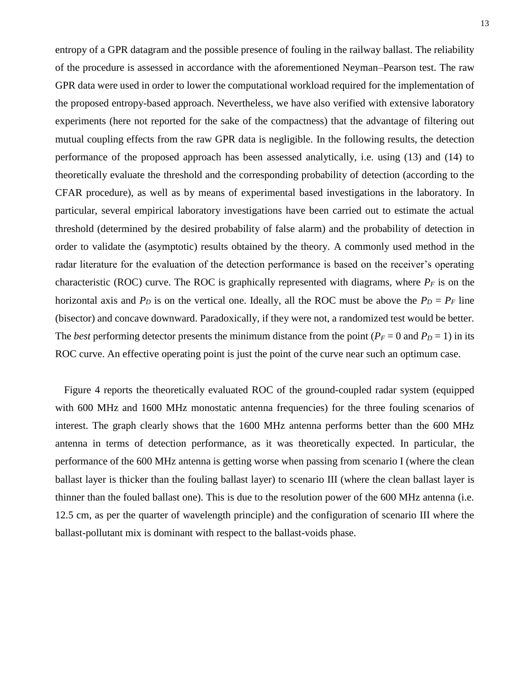entropy of a GPR datagram and the possible presence of fouling in the railway ballast. The reliability of the procedure is assessed in accordance with the aforementioned Neyman–Pearson test. The raw GPR data were used in order to lower the computational workload required for the implementation of the proposed entropy-based approach. Nevertheless, we have also verified with extensive laboratory experiments (here not reported for the sake of the compactness) that the advantage of filtering out mutual coupling effects from the raw GPR data is negligible. In the following results, the detection performance of the proposed approach has been assessed analytically, i.e. using (13) and (14) to theoretically evaluate the threshold and the corresponding probability of detection (according to the CFAR procedure), as well as by means of experimental based investigations in the laboratory. In particular, several empirical laboratory investigations have been carried out to estimate the actual threshold (determined by the desired probability of false alarm) and the probability of detection in order to validate the (asymptotic) results obtained by the theory. A commonly used method in the radar literature for the evaluation of the detection performance is based on the receiver's operating characteristic (ROC) curve. The ROC is graphically represented with diagrams, where  $P_F$  is on the horizontal axis and  $P_D$  is on the vertical one. Ideally, all the ROC must be above the  $P_D = P_F$  line (bisector) and concave downward. Paradoxically, if they were not, a randomized test would be better. The *best* performing detector presents the minimum distance from the point ( $P_F = 0$  and  $P_D = 1$ ) in its ROC curve. An effective operating point is just the point of the curve near such an optimum case.

Figure 4 reports the theoretically evaluated ROC of the ground-coupled radar system (equipped with 600 MHz and 1600 MHz monostatic antenna frequencies) for the three fouling scenarios of interest. The graph clearly shows that the 1600 MHz antenna performs better than the 600 MHz antenna in terms of detection performance, as it was theoretically expected. In particular, the performance of the 600 MHz antenna is getting worse when passing from scenario I (where the clean ballast layer is thicker than the fouling ballast layer) to scenario III (where the clean ballast layer is thinner than the fouled ballast one). This is due to the resolution power of the 600 MHz antenna (i.e. 12.5 cm, as per the quarter of wavelength principle) and the configuration of scenario III where the ballast-pollutant mix is dominant with respect to the ballast-voids phase.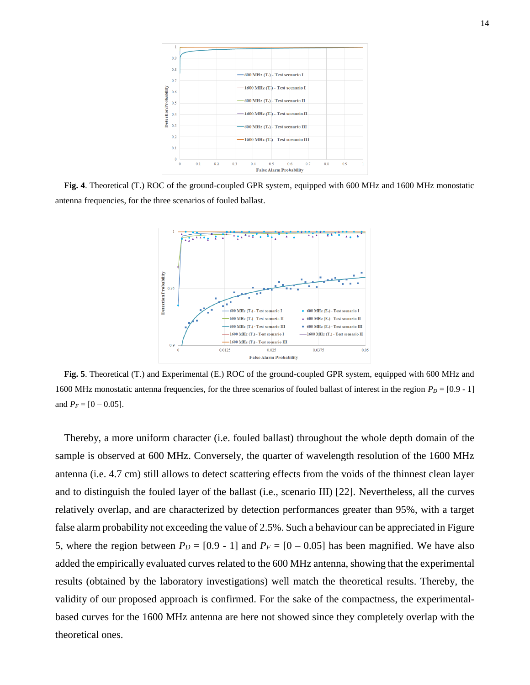

**Fig. 4**. Theoretical (T.) ROC of the ground-coupled GPR system, equipped with 600 MHz and 1600 MHz monostatic antenna frequencies, for the three scenarios of fouled ballast.



**Fig. 5**. Theoretical (T.) and Experimental (E.) ROC of the ground-coupled GPR system, equipped with 600 MHz and 1600 MHz monostatic antenna frequencies, for the three scenarios of fouled ballast of interest in the region  $P_D = [0.9 - 1]$ and  $P_F = [0 - 0.05]$ .

Thereby, a more uniform character (i.e. fouled ballast) throughout the whole depth domain of the sample is observed at 600 MHz. Conversely, the quarter of wavelength resolution of the 1600 MHz antenna (i.e. 4.7 cm) still allows to detect scattering effects from the voids of the thinnest clean layer and to distinguish the fouled layer of the ballast (i.e., scenario III) [22]. Nevertheless, all the curves relatively overlap, and are characterized by detection performances greater than 95%, with a target false alarm probability not exceeding the value of 2.5%. Such a behaviour can be appreciated in Figure 5, where the region between  $P_D = [0.9 - 1]$  and  $P_F = [0 - 0.05]$  has been magnified. We have also added the empirically evaluated curves related to the 600 MHz antenna, showing that the experimental results (obtained by the laboratory investigations) well match the theoretical results. Thereby, the validity of our proposed approach is confirmed. For the sake of the compactness, the experimentalbased curves for the 1600 MHz antenna are here not showed since they completely overlap with the theoretical ones.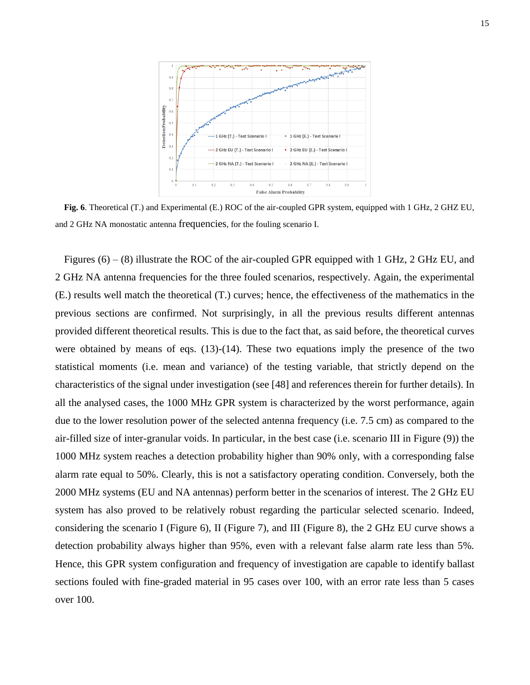

**Fig. 6**. Theoretical (T.) and Experimental (E.) ROC of the air-coupled GPR system, equipped with 1 GHz, 2 GHZ EU, and 2 GHz NA monostatic antenna frequencies, for the fouling scenario I.

Figures (6) – (8) illustrate the ROC of the air-coupled GPR equipped with 1 GHz, 2 GHz EU, and 2 GHz NA antenna frequencies for the three fouled scenarios, respectively. Again, the experimental (E.) results well match the theoretical (T.) curves; hence, the effectiveness of the mathematics in the previous sections are confirmed. Not surprisingly, in all the previous results different antennas provided different theoretical results. This is due to the fact that, as said before, the theoretical curves were obtained by means of eqs. (13)-(14). These two equations imply the presence of the two statistical moments (i.e. mean and variance) of the testing variable, that strictly depend on the characteristics of the signal under investigation (see [48] and references therein for further details). In all the analysed cases, the 1000 MHz GPR system is characterized by the worst performance, again due to the lower resolution power of the selected antenna frequency (i.e. 7.5 cm) as compared to the air-filled size of inter-granular voids. In particular, in the best case (i.e. scenario III in Figure (9)) the 1000 MHz system reaches a detection probability higher than 90% only, with a corresponding false alarm rate equal to 50%. Clearly, this is not a satisfactory operating condition. Conversely, both the 2000 MHz systems (EU and NA antennas) perform better in the scenarios of interest. The 2 GHz EU system has also proved to be relatively robust regarding the particular selected scenario. Indeed, considering the scenario I (Figure 6), II (Figure 7), and III (Figure 8), the 2 GHz EU curve shows a detection probability always higher than 95%, even with a relevant false alarm rate less than 5%. Hence, this GPR system configuration and frequency of investigation are capable to identify ballast sections fouled with fine-graded material in 95 cases over 100, with an error rate less than 5 cases over 100.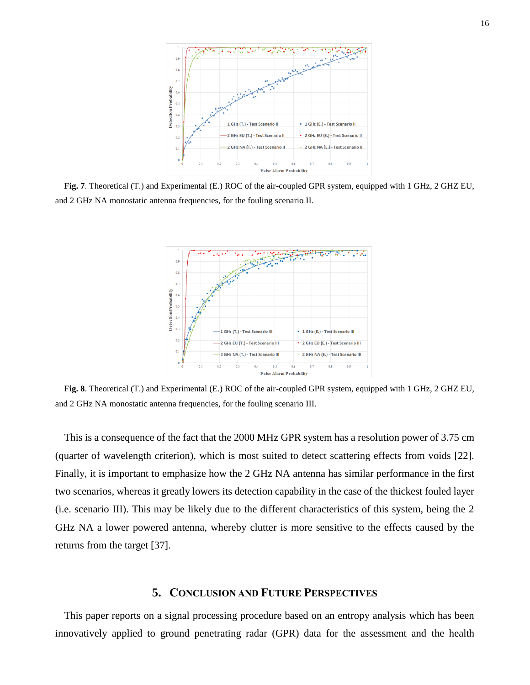

**Fig. 7**. Theoretical (T.) and Experimental (E.) ROC of the air-coupled GPR system, equipped with 1 GHz, 2 GHZ EU, and 2 GHz NA monostatic antenna frequencies, for the fouling scenario II.



**Fig. 8**. Theoretical (T.) and Experimental (E.) ROC of the air-coupled GPR system, equipped with 1 GHz, 2 GHZ EU, and 2 GHz NA monostatic antenna frequencies, for the fouling scenario III.

This is a consequence of the fact that the 2000 MHz GPR system has a resolution power of 3.75 cm (quarter of wavelength criterion), which is most suited to detect scattering effects from voids [22]. Finally, it is important to emphasize how the 2 GHz NA antenna has similar performance in the first two scenarios, whereas it greatly lowers its detection capability in the case of the thickest fouled layer (i.e. scenario III). This may be likely due to the different characteristics of this system, being the 2 GHz NA a lower powered antenna, whereby clutter is more sensitive to the effects caused by the returns from the target [37].

## **5. CONCLUSION AND FUTURE PERSPECTIVES**

This paper reports on a signal processing procedure based on an entropy analysis which has been innovatively applied to ground penetrating radar (GPR) data for the assessment and the health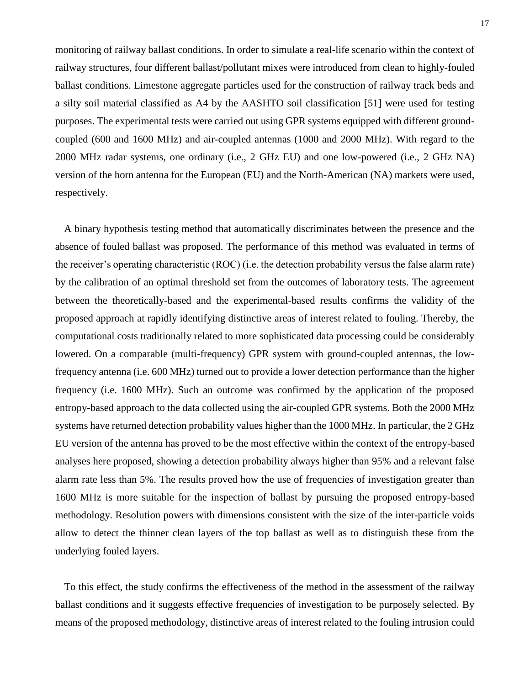monitoring of railway ballast conditions. In order to simulate a real-life scenario within the context of railway structures, four different ballast/pollutant mixes were introduced from clean to highly-fouled ballast conditions. Limestone aggregate particles used for the construction of railway track beds and a silty soil material classified as A4 by the AASHTO soil classification [51] were used for testing purposes. The experimental tests were carried out using GPR systems equipped with different groundcoupled (600 and 1600 MHz) and air-coupled antennas (1000 and 2000 MHz). With regard to the 2000 MHz radar systems, one ordinary (i.e., 2 GHz EU) and one low-powered (i.e., 2 GHz NA) version of the horn antenna for the European (EU) and the North-American (NA) markets were used, respectively.

A binary hypothesis testing method that automatically discriminates between the presence and the absence of fouled ballast was proposed. The performance of this method was evaluated in terms of the receiver's operating characteristic (ROC) (i.e. the detection probability versus the false alarm rate) by the calibration of an optimal threshold set from the outcomes of laboratory tests. The agreement between the theoretically-based and the experimental-based results confirms the validity of the proposed approach at rapidly identifying distinctive areas of interest related to fouling. Thereby, the computational costs traditionally related to more sophisticated data processing could be considerably lowered. On a comparable (multi-frequency) GPR system with ground-coupled antennas, the lowfrequency antenna (i.e. 600 MHz) turned out to provide a lower detection performance than the higher frequency (i.e. 1600 MHz). Such an outcome was confirmed by the application of the proposed entropy-based approach to the data collected using the air-coupled GPR systems. Both the 2000 MHz systems have returned detection probability values higher than the 1000 MHz. In particular, the 2 GHz EU version of the antenna has proved to be the most effective within the context of the entropy-based analyses here proposed, showing a detection probability always higher than 95% and a relevant false alarm rate less than 5%. The results proved how the use of frequencies of investigation greater than 1600 MHz is more suitable for the inspection of ballast by pursuing the proposed entropy-based methodology. Resolution powers with dimensions consistent with the size of the inter-particle voids allow to detect the thinner clean layers of the top ballast as well as to distinguish these from the underlying fouled layers.

To this effect, the study confirms the effectiveness of the method in the assessment of the railway ballast conditions and it suggests effective frequencies of investigation to be purposely selected. By means of the proposed methodology, distinctive areas of interest related to the fouling intrusion could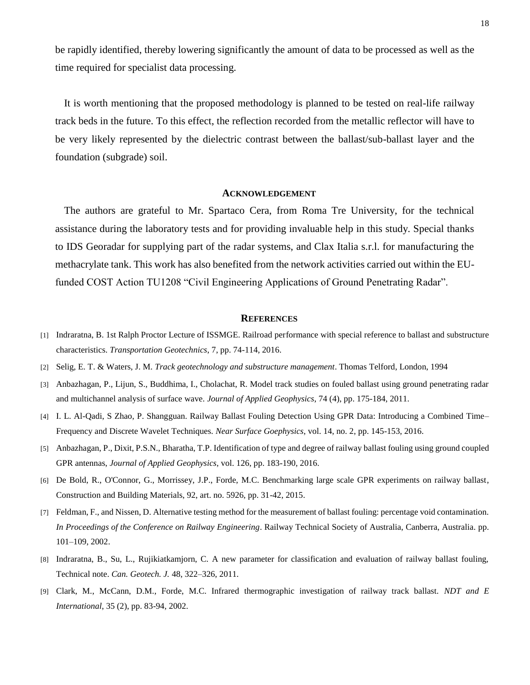be rapidly identified, thereby lowering significantly the amount of data to be processed as well as the time required for specialist data processing.

It is worth mentioning that the proposed methodology is planned to be tested on real-life railway track beds in the future. To this effect, the reflection recorded from the metallic reflector will have to be very likely represented by the dielectric contrast between the ballast/sub-ballast layer and the foundation (subgrade) soil.

#### **ACKNOWLEDGEMENT**

The authors are grateful to Mr. Spartaco Cera, from Roma Tre University, for the technical assistance during the laboratory tests and for providing invaluable help in this study. Special thanks to IDS Georadar for supplying part of the radar systems, and Clax Italia s.r.l. for manufacturing the methacrylate tank. This work has also benefited from the network activities carried out within the EUfunded COST Action TU1208 "Civil Engineering Applications of Ground Penetrating Radar".

#### **REFERENCES**

- [1] Indraratna, B. 1st Ralph Proctor Lecture of ISSMGE. Railroad performance with special reference to ballast and substructure characteristics. *Transportation Geotechnics*, 7, pp. 74-114, 2016.
- [2] Selig, E. T. & Waters, J. M. *Track geotechnology and substructure management*. Thomas Telford, London, 1994
- [3] Anbazhagan, P., Lijun, S., Buddhima, I., Cholachat, R. Model track studies on fouled ballast using ground penetrating radar and multichannel analysis of surface wave. *Journal of Applied Geophysics*, 74 (4), pp. 175-184, 2011.
- [4] I. L. Al-Qadi, S Zhao, P. Shangguan. Railway Ballast Fouling Detection Using GPR Data: Introducing a Combined Time– Frequency and Discrete Wavelet Techniques. *Near Surface Goephysics*, vol. 14, no. 2, pp. 145-153, 2016.
- [5] Anbazhagan, P., Dixit, P.S.N., Bharatha, T.P. Identification of type and degree of railway ballast fouling using ground coupled GPR antennas, *Journal of Applied Geophysics*, vol. 126, pp. 183-190, 2016.
- [6] De Bold, R., O'Connor, G., Morrissey, J.P., Forde, M.C. Benchmarking large scale GPR experiments on railway ballast, Construction and Building Materials, 92, art. no. 5926, pp. 31-42, 2015.
- [7] Feldman, F., and Nissen, D. Alternative testing method for the measurement of ballast fouling: percentage void contamination. *In Proceedings of the Conference on Railway Engineering*. Railway Technical Society of Australia, Canberra, Australia. pp. 101–109, 2002.
- [8] Indraratna, B., Su, L., Rujikiatkamjorn, C. A new parameter for classification and evaluation of railway ballast fouling, Technical note. *Can. Geotech. J.* 48, 322–326, 2011.
- [9] Clark, M., McCann, D.M., Forde, M.C. Infrared thermographic investigation of railway track ballast. *NDT and E International*, 35 (2), pp. 83-94, 2002.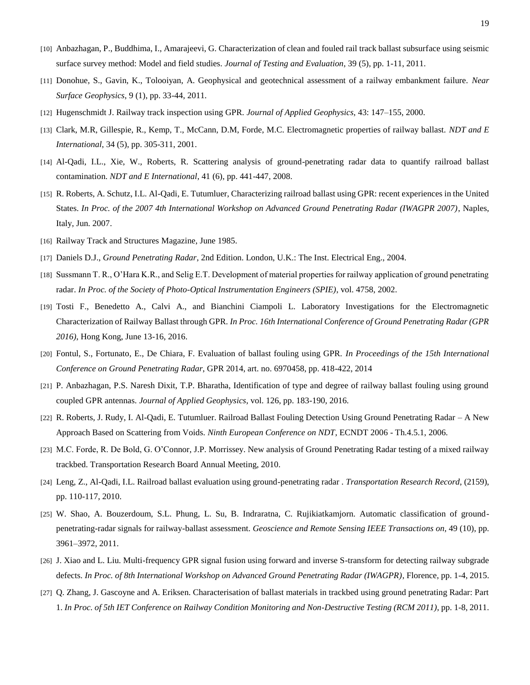- [10] Anbazhagan, P., Buddhima, I., Amarajeevi, G. Characterization of clean and fouled rail track ballast subsurface using seismic surface survey method: Model and field studies. *Journal of Testing and Evaluation*, 39 (5), pp. 1-11, 2011.
- [11] Donohue, S., Gavin, K., Tolooiyan, A. Geophysical and geotechnical assessment of a railway embankment failure. *Near Surface Geophysics*, 9 (1), pp. 33-44, 2011.
- [12] Hugenschmidt J. Railway track inspection using GPR. *Journal of Applied Geophysics*, 43: 147–155, 2000.
- [13] Clark, M.R, Gillespie, R., Kemp, T., McCann, D.M, Forde, M.C. Electromagnetic properties of railway ballast. *NDT and E International*, 34 (5), pp. 305-311, 2001.
- [14] Al-Qadi, I.L., Xie, W., Roberts, R. Scattering analysis of ground-penetrating radar data to quantify railroad ballast contamination. *NDT and E International*, 41 (6), pp. 441-447, 2008.
- [15] R. Roberts, A. Schutz, I.L. Al-Qadi, E. Tutumluer, Characterizing railroad ballast using GPR: recent experiences in the United States. *In Proc. of the 2007 4th International Workshop on Advanced Ground Penetrating Radar (IWAGPR 2007)*, Naples, Italy, Jun. 2007.
- [16] Railway Track and Structures Magazine, June 1985.
- [17] Daniels D.J., *Ground Penetrating Radar*, 2nd Edition. London, U.K.: The Inst. Electrical Eng., 2004.
- [18] Sussmann T. R., O'Hara K.R., and Selig E.T. Development of material properties for railway application of ground penetrating radar. *In Proc. of the Society of Photo-Optical Instrumentation Engineers (SPIE)*, vol. 4758, 2002.
- [19] Tosti F., Benedetto A., Calvi A., and Bianchini Ciampoli L. Laboratory Investigations for the Electromagnetic Characterization of Railway Ballast through GPR. *In Proc. 16th International Conference of Ground Penetrating Radar (GPR 2016)*, Hong Kong, June 13-16, 2016.
- [20] Fontul, S., Fortunato, E., De Chiara, F. Evaluation of ballast fouling using GPR. *In Proceedings of the 15th International Conference on Ground Penetrating Radar*, GPR 2014, art. no. 6970458, pp. 418-422, 2014
- [21] P. Anbazhagan, P.S. Naresh Dixit, T.P. Bharatha, Identification of type and degree of railway ballast fouling using ground coupled GPR antennas. *Journal of Applied Geophysics*, vol. 126, pp. 183-190, 2016.
- [22] R. Roberts, J. Rudy, I. Al-Qadi, E. Tutumluer. Railroad Ballast Fouling Detection Using Ground Penetrating Radar A New Approach Based on Scattering from Voids. *Ninth European Conference on NDT*, ECNDT 2006 - Th.4.5.1, 2006.
- [23] M.C. Forde, R. De Bold, G. O'Connor, J.P. Morrissey. New analysis of Ground Penetrating Radar testing of a mixed railway trackbed. Transportation Research Board Annual Meeting, 2010.
- [24] Leng, Z., Al-Qadi, I.L. Railroad ballast evaluation using ground-penetrating radar . *Transportation Research Record*, (2159), pp. 110-117, 2010.
- [25] W. Shao, A. Bouzerdoum, S.L. Phung, L. Su, B. Indraratna, C. Rujikiatkamjorn. Automatic classification of groundpenetrating-radar signals for railway-ballast assessment. *Geoscience and Remote Sensing IEEE Transactions on*, 49 (10), pp. 3961–3972, 2011.
- [26] J. Xiao and L. Liu. Multi-frequency GPR signal fusion using forward and inverse S-transform for detecting railway subgrade defects. *In Proc. of 8th International Workshop on Advanced Ground Penetrating Radar (IWAGPR)*, Florence, pp. 1-4, 2015.
- [27] Q. Zhang, J. Gascoyne and A. Eriksen. Characterisation of ballast materials in trackbed using ground penetrating Radar: Part 1. *In Proc. of 5th IET Conference on Railway Condition Monitoring and Non-Destructive Testing (RCM 2011)*, pp. 1-8, 2011.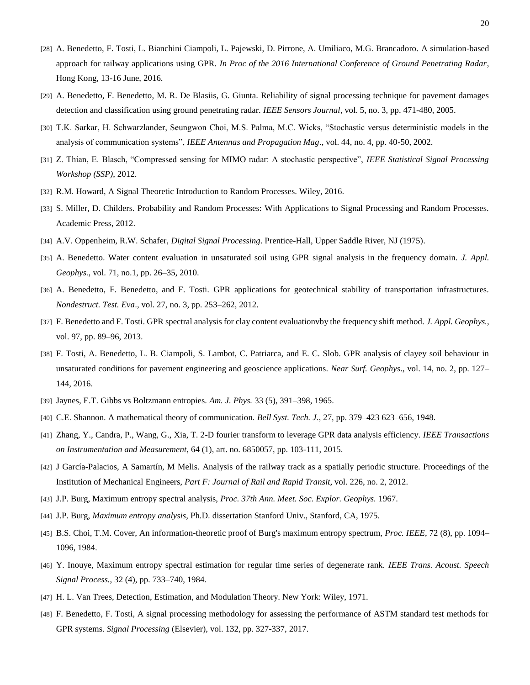- [28] A. Benedetto, F. Tosti, L. Bianchini Ciampoli, L. Pajewski, D. Pirrone, A. Umiliaco, M.G. Brancadoro. A simulation-based approach for railway applications using GPR. *In Proc of the 2016 International Conference of Ground Penetrating Radar*, Hong Kong, 13-16 June, 2016.
- [29] A. Benedetto, F. Benedetto, M. R. De Blasiis, G. Giunta. Reliability of signal processing technique for pavement damages detection and classification using ground penetrating radar. *IEEE Sensors Journal*, vol. 5, no. 3, pp. 471-480, 2005.
- [30] T.K. Sarkar, H. Schwarzlander, Seungwon Choi, M.S. Palma, M.C. Wicks, "Stochastic versus deterministic models in the analysis of communication systems", *IEEE Antennas and Propagation Mag*., vol. 44, no. 4, pp. 40-50, 2002.
- [31] Z. Thian, E. Blasch, "Compressed sensing for MIMO radar: A stochastic perspective", *IEEE Statistical Signal Processing Workshop (SSP)*, 2012.
- [32] R.M. Howard, A Signal Theoretic Introduction to Random Processes. Wiley, 2016.
- [33] S. Miller, D. Childers. Probability and Random Processes: With Applications to Signal Processing and Random Processes. Academic Press, 2012.
- [34] A.V. Oppenheim, R.W. Schafer, *Digital Signal Processing*. Prentice-Hall, Upper Saddle River, NJ (1975).
- [35] A. Benedetto. Water content evaluation in unsaturated soil using GPR signal analysis in the frequency domain. *J. Appl. Geophys.*, vol. 71, no.1, pp. 26–35, 2010.
- [36] A. Benedetto, F. Benedetto, and F. Tosti. GPR applications for geotechnical stability of transportation infrastructures. *Nondestruct. Test. Eva*., vol. 27, no. 3, pp. 253–262, 2012.
- [37] F. Benedetto and F. Tosti. GPR spectral analysis for clay content evaluationvby the frequency shift method. *J. Appl. Geophys.*, vol. 97, pp. 89–96, 2013.
- [38] F. Tosti, A. Benedetto, L. B. Ciampoli, S. Lambot, C. Patriarca, and E. C. Slob. GPR analysis of clayey soil behaviour in unsaturated conditions for pavement engineering and geoscience applications. *Near Surf. Geophys*., vol. 14, no. 2, pp. 127– 144, 2016.
- [39] Jaynes, E.T. Gibbs vs Boltzmann entropies. *Am. J. Phys.* 33 (5), 391–398, 1965.
- [40] C.E. Shannon. A mathematical theory of communication. *Bell Syst. Tech. J.*, 27, pp. 379–423 623–656, 1948.
- [41] Zhang, Y., Candra, P., Wang, G., Xia, T. 2-D fourier transform to leverage GPR data analysis efficiency. *IEEE Transactions on Instrumentation and Measurement*, 64 (1), art. no. 6850057, pp. 103-111, 2015.
- [42] J García-Palacios, A Samartín, M Melis. Analysis of the railway track as a spatially periodic structure. Proceedings of the Institution of Mechanical Engineers, *Part F: Journal of Rail and Rapid Transit*, vol. 226, no. 2, 2012.
- [43] J.P. Burg, Maximum entropy spectral analysis, *Proc. 37th Ann. Meet. Soc. Explor. Geophys.* 1967.
- [44] J.P. Burg, *Maximum entropy analysis*, Ph.D. dissertation Stanford Univ., Stanford, CA, 1975.
- [45] B.S. Choi, T.M. Cover, An information-theoretic proof of Burg's maximum entropy spectrum, *Proc. IEEE*, 72 (8), pp. 1094– 1096, 1984.
- [46] Y. Inouye, Maximum entropy spectral estimation for regular time series of degenerate rank. *IEEE Trans. Acoust. Speech Signal Process.*, 32 (4), pp. 733–740, 1984.
- [47] H. L. Van Trees, Detection, Estimation, and Modulation Theory. New York: Wiley, 1971.
- [48] F. Benedetto, F. Tosti, A signal processing methodology for assessing the performance of ASTM standard test methods for GPR systems. *Signal Processing* (Elsevier), vol. 132, pp. 327-337, 2017.